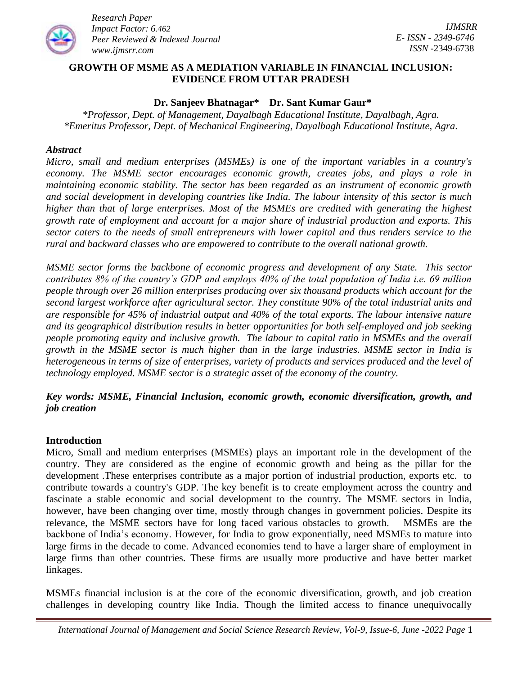

### **GROWTH OF [MSME AS A MEDIATION VARIABLE IN FINANCIAL INCLUSION:](https://www.academia.edu/68023599/The_Role_of_MSME_Growth_as_a_Mediation_Variable_in_Financial_Inclusion_Evidence_from_Indonesia)  [EVIDENCE FROM U](https://www.academia.edu/68023599/The_Role_of_MSME_Growth_as_a_Mediation_Variable_in_Financial_Inclusion_Evidence_from_Indonesia)TTAR PRADESH**

#### **Dr. Sanjeev Bhatnagar\* Dr. Sant Kumar Gaur\***

*\*Professor, Dept. of Management, Dayalbagh Educational Institute, Dayalbagh, Agra. \*Emeritus Professor, Dept. of Mechanical Engineering, Dayalbagh Educational Institute, Agra.*

#### *Abstract*

*Micro, small and medium enterprises (MSMEs) is one of the important variables in a country's economy. The MSME sector encourages economic growth, creates jobs, and plays a role in maintaining economic stability. The sector has been regarded as an instrument of economic growth and social development in developing countries like India. The labour intensity of this sector is much higher than that of large enterprises. Most of the MSMEs are credited with generating the highest growth rate of employment and account for a major share of industrial production and exports. This sector caters to the needs of small entrepreneurs with lower capital and thus renders service to the rural and backward classes who are empowered to contribute to the overall national growth.* 

*MSME sector forms the backbone of economic progress and development of any State. This sector contributes 8% of the country's GDP and employs 40% of the total population of India i.e. 69 million people through over 26 million enterprises producing over six thousand products which account for the second largest workforce after agricultural sector. They constitute 90% of the total industrial units and are responsible for 45% of industrial output and 40% of the total exports. The labour intensive nature and its geographical distribution results in better opportunities for both self-employed and job seeking people promoting equity and inclusive growth. The labour to capital ratio in MSMEs and the overall growth in the MSME sector is much higher than in the large industries. MSME sector in India is heterogeneous in terms of size of enterprises, variety of products and services produced and the level of technology employed. MSME sector is a strategic asset of the economy of the country.* 

## *Key words: MSME, Financial Inclusion, economic growth, economic diversification, growth, and job creation*

#### **Introduction**

Micro, Small and medium enterprises (MSMEs) plays an important role in the development of the country. They are considered as the engine of economic growth and being as the pillar for the development .These enterprises contribute as a major portion of industrial production, exports etc. to contribute towards a country's GDP. The key benefit is to create employment across the country and fascinate a stable economic and social development to the country. The MSME sectors in India, however, have been changing over time, mostly through changes in government policies. Despite its relevance, the MSME sectors have for long faced various obstacles to growth. MSMEs are the backbone of India's economy. However, for India to grow exponentially, need MSMEs to mature into large firms in the decade to come. Advanced economies tend to have a larger share of employment in large firms than other countries. These firms are usually more productive and have better market linkages.

MSMEs financial inclusion is at the core of the economic diversification, growth, and job creation challenges in developing country like India. Though the limited access to finance unequivocally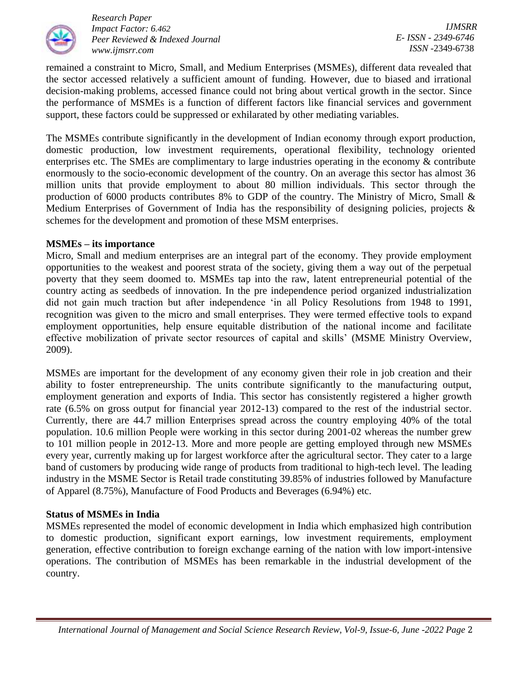

*IJMSRR E- ISSN - 2349-6746 ISSN -*2349-6738

remained a constraint to Micro, Small, and Medium Enterprises (MSMEs), different data revealed that the sector accessed relatively a sufficient amount of funding. However, due to biased and irrational decision-making problems, accessed finance could not bring about vertical growth in the sector. Since the performance of MSMEs is a function of different factors like financial services and government support, these factors could be suppressed or exhilarated by other mediating variables.

The MSMEs contribute significantly in the development of Indian economy through export production, domestic production, low investment requirements, operational flexibility, technology oriented enterprises etc. The SMEs are complimentary to large industries operating in the economy & contribute enormously to the socio-economic development of the country. On an average this sector has almost 36 million units that provide employment to about 80 million individuals. This sector through the production of 6000 products contributes 8% to GDP of the country. The Ministry of Micro, Small & Medium Enterprises of Government of India has the responsibility of designing policies, projects & schemes for the development and promotion of these MSM enterprises.

#### **MSMEs – its importance**

Micro, Small and medium enterprises are an integral part of the economy. They provide employment opportunities to the weakest and poorest strata of the society, giving them a way out of the perpetual poverty that they seem doomed to. MSMEs tap into the raw, latent entrepreneurial potential of the country acting as seedbeds of innovation. In the pre independence period organized industrialization did not gain much traction but after independence 'in all Policy Resolutions from 1948 to 1991, recognition was given to the micro and small enterprises. They were termed effective tools to expand employment opportunities, help ensure equitable distribution of the national income and facilitate effective mobilization of private sector resources of capital and skills' (MSME Ministry Overview, 2009).

MSMEs are important for the development of any economy given their role in job creation and their ability to foster entrepreneurship. The units contribute significantly to the manufacturing output, employment generation and exports of India. This sector has consistently registered a higher growth rate (6.5% on gross output for financial year 2012-13) compared to the rest of the industrial sector. Currently, there are 44.7 million Enterprises spread across the country employing 40% of the total population. 10.6 million People were working in this sector during 2001-02 whereas the number grew to 101 million people in 2012-13. More and more people are getting employed through new MSMEs every year, currently making up for largest workforce after the agricultural sector. They cater to a large band of customers by producing wide range of products from traditional to high-tech level. The leading industry in the MSME Sector is Retail trade constituting 39.85% of industries followed by Manufacture of Apparel (8.75%), Manufacture of Food Products and Beverages (6.94%) etc.

#### **Status of MSMEs in India**

MSMEs represented the model of economic development in India which emphasized high contribution to domestic production, significant export earnings, low investment requirements, employment generation, effective contribution to foreign exchange earning of the nation with low import-intensive operations. The contribution of MSMEs has been remarkable in the industrial development of the country.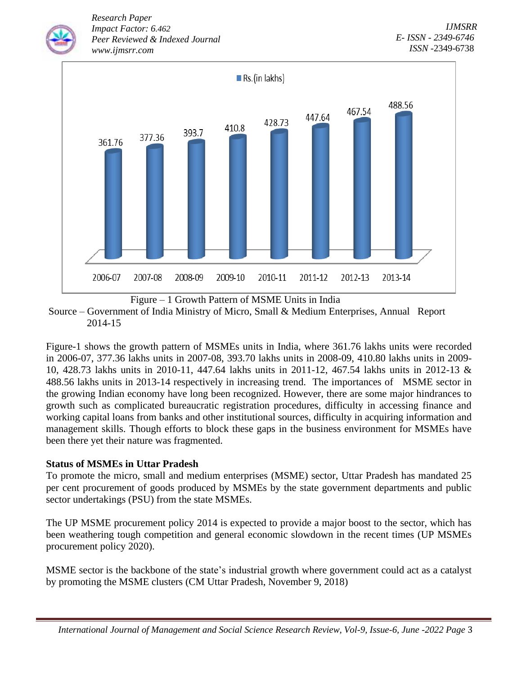

Source – Government of India Ministry of Micro, Small & Medium Enterprises, Annual Report 2014-15

Figure-1 shows the growth pattern of MSMEs units in India, where 361.76 lakhs units were recorded in 2006-07, 377.36 lakhs units in 2007-08, 393.70 lakhs units in 2008-09, 410.80 lakhs units in 2009- 10, 428.73 lakhs units in 2010-11, 447.64 lakhs units in 2011-12, 467.54 lakhs units in 2012-13 & 488.56 lakhs units in 2013-14 respectively in increasing trend. The importances of MSME sector in the growing Indian economy have long been recognized. However, there are some major hindrances to growth such as complicated bureaucratic registration procedures, difficulty in accessing finance and working capital loans from banks and other institutional sources, difficulty in acquiring information and management skills. Though efforts to block these gaps in the business environment for MSMEs have been there yet their nature was fragmented.

# **Status of MSMEs in Uttar Pradesh**

To promote the micro, small and medium enterprises (MSME) sector, Uttar Pradesh has mandated 25 per cent procurement of goods produced by MSMEs by the state government departments and public sector undertakings (PSU) from the state MSMEs.

The UP MSME procurement policy 2014 is expected to provide a major boost to the sector, which has been weathering tough competition and general economic slowdown in the recent times (UP MSMEs procurement policy 2020).

MSME sector is the backbone of the state's industrial growth where government could act as a catalyst by promoting the MSME clusters (CM Uttar Pradesh, November 9, 2018)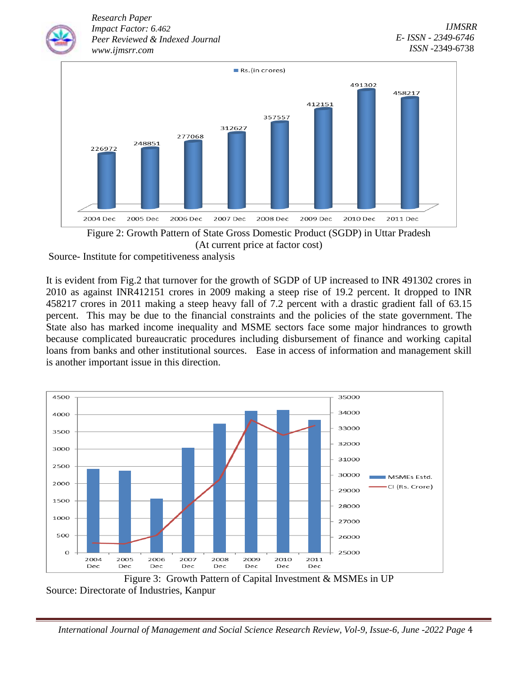

Figure 2: Growth Pattern of State Gross Domestic Product (SGDP) in Uttar Pradesh (At current price at factor cost)

Source- Institute for competitiveness analysis

It is evident from Fig.2 that turnover for the growth of SGDP of UP increased to INR 491302 crores in 2010 as against INR412151 crores in 2009 making a steep rise of 19.2 percent. It dropped to INR 458217 crores in 2011 making a steep heavy fall of 7.2 percent with a drastic gradient fall of 63.15 percent. This may be due to the financial constraints and the policies of the state government. The State also has marked income inequality and MSME sectors face some major hindrances to growth because complicated bureaucratic procedures including disbursement of finance and working capital loans from banks and other institutional sources. Ease in access of information and management skill is another important issue in this direction.



Figure 3: Growth Pattern of Capital Investment & MSMEs in UP Source: Directorate of Industries, Kanpur

 *International Journal of Management and Social Science Research Review, Vol-9, Issue-6, June -2022 Page* 4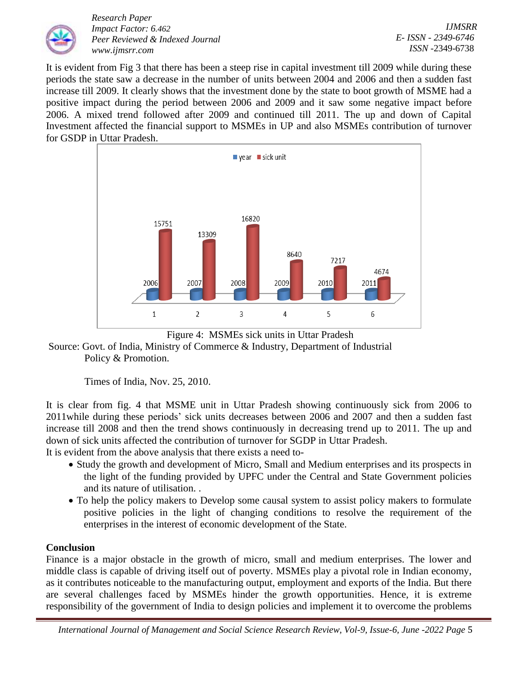

*IJMSRR E- ISSN - 2349-6746 ISSN -*2349-6738

It is evident from Fig 3 that there has been a steep rise in capital investment till 2009 while during these periods the state saw a decrease in the number of units between 2004 and 2006 and then a sudden fast increase till 2009. It clearly shows that the investment done by the state to boot growth of MSME had a positive impact during the period between 2006 and 2009 and it saw some negative impact before 2006. A mixed trend followed after 2009 and continued till 2011. The up and down of Capital Investment affected the financial support to MSMEs in UP and also MSMEs contribution of turnover for GSDP in Uttar Pradesh.





Source: Govt. of India, Ministry of Commerce & Industry, Department of Industrial Policy & Promotion.

Times of India, Nov. 25, 2010.

It is clear from fig. 4 that MSME unit in Uttar Pradesh showing continuously sick from 2006 to 2011while during these periods' sick units decreases between 2006 and 2007 and then a sudden fast increase till 2008 and then the trend shows continuously in decreasing trend up to 2011. The up and down of sick units affected the contribution of turnover for SGDP in Uttar Pradesh.

It is evident from the above analysis that there exists a need to-

- Study the growth and development of Micro, Small and Medium enterprises and its prospects in the light of the funding provided by UPFC under the Central and State Government policies and its nature of utilisation. .
- To help the policy makers to Develop some causal system to assist policy makers to formulate positive policies in the light of changing conditions to resolve the requirement of the enterprises in the interest of economic development of the State.

# **Conclusion**

Finance is a major obstacle in the growth of micro, small and medium enterprises. The lower and middle class is capable of driving itself out of poverty. MSMEs play a pivotal role in Indian economy, as it contributes noticeable to the manufacturing output, employment and exports of the India. But there are several challenges faced by MSMEs hinder the growth opportunities. Hence, it is extreme responsibility of the government of India to design policies and implement it to overcome the problems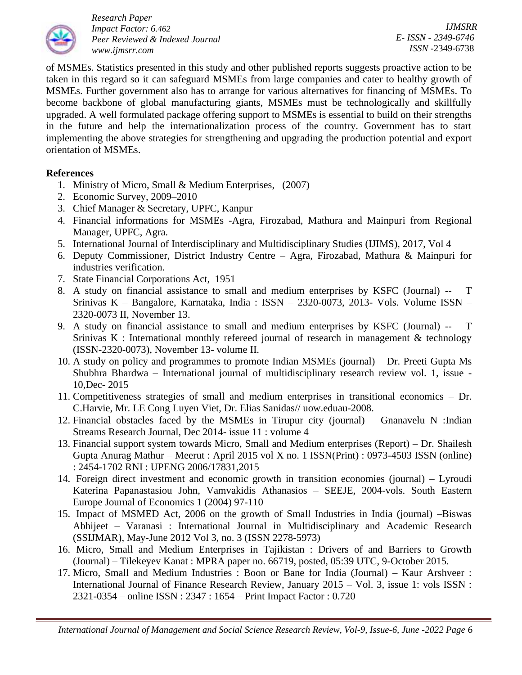

*IJMSRR E- ISSN - 2349-6746 ISSN -*2349-6738

of MSMEs. Statistics presented in this study and other published reports suggests proactive action to be taken in this regard so it can safeguard MSMEs from large companies and cater to healthy growth of MSMEs. Further government also has to arrange for various alternatives for financing of MSMEs. To become backbone of global manufacturing giants, MSMEs must be technologically and skillfully upgraded. A well formulated package offering support to MSMEs is essential to build on their strengths in the future and help the internationalization process of the country. Government has to start implementing the above strategies for strengthening and upgrading the production potential and export orientation of MSMEs.

### **References**

- 1. Ministry of Micro, Small & Medium Enterprises, (2007)
- 2. Economic Survey, 2009–2010
- 3. Chief Manager & Secretary, UPFC, Kanpur
- 4. Financial informations for MSMEs -Agra, Firozabad, Mathura and Mainpuri from Regional Manager, UPFC, Agra.
- 5. International Journal of Interdisciplinary and Multidisciplinary Studies (IJIMS), 2017, Vol 4
- 6. Deputy Commissioner, District Industry Centre Agra, Firozabad, Mathura & Mainpuri for industries verification.
- 7. State Financial Corporations Act, 1951
- 8. A study on financial assistance to small and medium enterprises by KSFC (Journal) -- T Srinivas K – Bangalore, Karnataka, India : ISSN – 2320-0073, 2013- Vols. Volume ISSN – 2320-0073 II, November 13.
- 9. A study on financial assistance to small and medium enterprises by KSFC (Journal) -- T Srinivas K : International monthly refereed journal of research in management  $\&$  technology (ISSN-2320-0073), November 13- volume II.
- 10. A study on policy and programmes to promote Indian MSMEs (journal) Dr. Preeti Gupta Ms Shubhra Bhardwa – International journal of multidisciplinary research review vol. 1, issue - 10,Dec- 2015
- 11. Competitiveness strategies of small and medium enterprises in transitional economics Dr. C.Harvie, Mr. LE Cong Luyen Viet, Dr. Elias Sanidas// uow.eduau-2008.
- 12. Financial obstacles faced by the MSMEs in Tirupur city (journal) Gnanavelu N :Indian Streams Research Journal, Dec 2014- issue 11 : volume 4
- 13. Financial support system towards Micro, Small and Medium enterprises (Report) Dr. Shailesh Gupta Anurag Mathur – Meerut : April 2015 vol X no. 1 ISSN(Print) : 0973-4503 ISSN (online) : 2454-1702 RNI : UPENG 2006/17831,2015
- 14. Foreign direct investment and economic growth in transition economies (journal) Lyroudi Katerina Papanastasiou John, Vamvakidis Athanasios – SEEJE, 2004-vols. South Eastern Europe Journal of Economics 1 (2004) 97-110
- 15. Impact of MSMED Act, 2006 on the growth of Small Industries in India (journal) –Biswas Abhijeet – Varanasi : International Journal in Multidisciplinary and Academic Research (SSIJMAR), May-June 2012 Vol 3, no. 3 (ISSN 2278-5973)
- 16. Micro, Small and Medium Enterprises in Tajikistan : Drivers of and Barriers to Growth (Journal) – Tilekeyev Kanat : MPRA paper no. 66719, posted, 05:39 UTC, 9-October 2015.
- 17. Micro, Small and Medium Industries : Boon or Bane for India (Journal) Kaur Arshveer : International Journal of Finance Research Review, January 2015 – Vol. 3, issue 1: vols ISSN : 2321-0354 – online ISSN : 2347 : 1654 – Print Impact Factor : 0.720